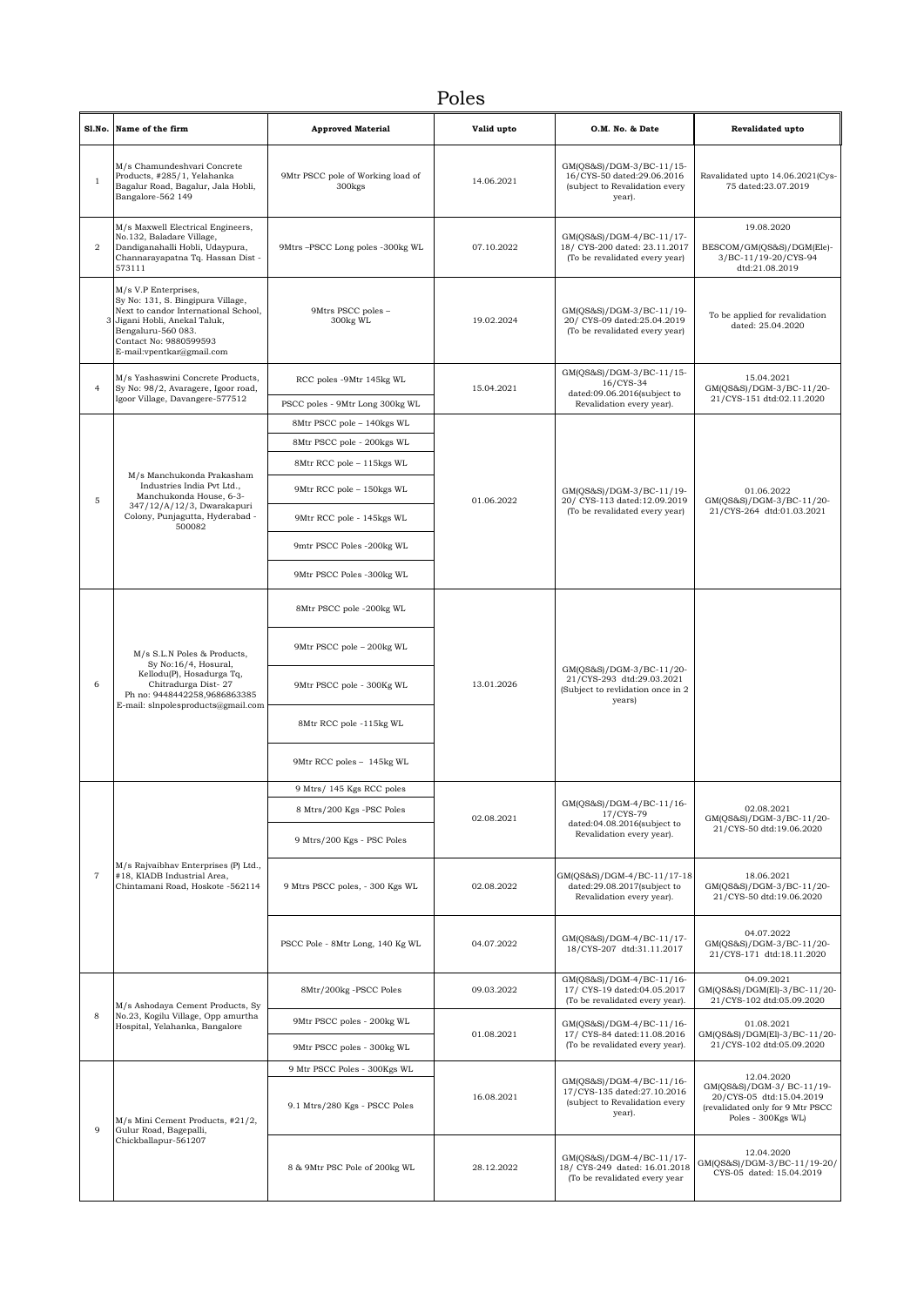## Poles

|                | Sl.No. Name of the firm                                                                                                                                                                                       | <b>Approved Material</b>                                | Valid upto | O.M. No. & Date                                                                                      | Revalidated upto                                                                                                |
|----------------|---------------------------------------------------------------------------------------------------------------------------------------------------------------------------------------------------------------|---------------------------------------------------------|------------|------------------------------------------------------------------------------------------------------|-----------------------------------------------------------------------------------------------------------------|
| 1              | M/s Chamundeshvari Concrete<br>Products, #285/1, Yelahanka<br>Bagalur Road, Bagalur, Jala Hobli,<br>Bangalore-562 149                                                                                         | 9Mtr PSCC pole of Working load of<br>300 <sub>kgs</sub> | 14.06.2021 | GM(QS&S)/DGM-3/BC-11/15-<br>16/CYS-50 dated:29.06.2016<br>(subject to Revalidation every<br>year).   | Ravalidated upto 14.06.2021(Cys-<br>75 dated:23.07.2019                                                         |
| 2              | M/s Maxwell Electrical Engineers,<br>No.132, Baladare Village,<br>Dandiganahalli Hobli, Udaypura,<br>Channarayapatna Tq. Hassan Dist -<br>573111                                                              | 9Mtrs -PSCC Long poles -300kg WL                        | 07.10.2022 | GM(QS&S)/DGM-4/BC-11/17-<br>18/ CYS-200 dated: 23.11.2017<br>(To be revalidated every year)          | 19.08.2020<br>BESCOM/GM(QS&S)/DGM(Ele)-<br>3/BC-11/19-20/CYS-94<br>dtd:21.08.2019                               |
| 3              | M/s V.P Enterprises,<br>Sy No: 131, S. Bingipura Village,<br>Next to candor International School,<br>Jigani Hobli, Anekal Taluk,<br>Bengaluru-560 083.<br>Contact No: 9880599593<br>E-mail:vpentkar@gmail.com | 9Mtrs PSCC poles -<br>300kg WL                          | 19.02.2024 | GM(QS&S)/DGM-3/BC-11/19-<br>20/ CYS-09 dated:25.04.2019<br>(To be revalidated every year)            | To be applied for revalidation<br>dated: 25.04.2020                                                             |
| $\overline{4}$ | M/s Yashaswini Concrete Products,<br>Sy No: 98/2, Avaragere, Igoor road,                                                                                                                                      | RCC poles -9Mtr 145kg WL                                | 15.04.2021 | GM(QS&S)/DGM-3/BC-11/15-<br>16/CYS-34<br>dated:09.06.2016(subject to<br>Revalidation every year).    | 15.04.2021<br>GM(QS&S)/DGM-3/BC-11/20-                                                                          |
|                | Igoor Village, Davangere-577512                                                                                                                                                                               | PSCC poles - 9Mtr Long 300kg WL                         |            |                                                                                                      | 21/CYS-151 dtd:02.11.2020                                                                                       |
|                |                                                                                                                                                                                                               | 8Mtr PSCC pole - 140kgs WL                              |            |                                                                                                      |                                                                                                                 |
|                |                                                                                                                                                                                                               | 8Mtr PSCC pole - 200kgs WL                              |            |                                                                                                      |                                                                                                                 |
|                |                                                                                                                                                                                                               | 8Mtr RCC pole - 115kgs WL                               |            |                                                                                                      |                                                                                                                 |
| 5              | M/s Manchukonda Prakasham<br>Industries India Pvt Ltd.,<br>Manchukonda House, 6-3-                                                                                                                            | 9Mtr RCC pole - 150kgs WL                               | 01.06.2022 | GM(QS&S)/DGM-3/BC-11/19-<br>20/ CYS-113 dated:12.09.2019                                             | 01.06.2022<br>GM(QS&S)/DGM-3/BC-11/20-                                                                          |
|                | 347/12/A/12/3, Dwarakapuri<br>Colony, Punjagutta, Hyderabad -<br>500082                                                                                                                                       | 9Mtr RCC pole - 145kgs WL                               |            | (To be revalidated every year)                                                                       | 21/CYS-264 dtd:01.03.2021                                                                                       |
|                |                                                                                                                                                                                                               | 9mtr PSCC Poles -200kg WL                               |            |                                                                                                      |                                                                                                                 |
|                |                                                                                                                                                                                                               | 9Mtr PSCC Poles -300kg WL                               |            |                                                                                                      |                                                                                                                 |
|                | M/s S.L.N Poles & Products,<br>Sy No:16/4, Hosural,<br>Kellodu(P), Hosadurga Tq,<br>Chitradurga Dist-27<br>Ph no: 9448442258,9686863385<br>E-mail: slnpolesproducts@gmail.com                                 | 8Mtr PSCC pole -200kg WL                                | 13.01.2026 | GM(QS&S)/DGM-3/BC-11/20-<br>21/CYS-293 dtd:29.03.2021<br>(Subject to revlidation once in 2<br>years) |                                                                                                                 |
|                |                                                                                                                                                                                                               | 9Mtr PSCC pole - 200kg WL                               |            |                                                                                                      |                                                                                                                 |
| 6              |                                                                                                                                                                                                               | 9Mtr PSCC pole - 300Kg WL                               |            |                                                                                                      |                                                                                                                 |
|                |                                                                                                                                                                                                               | 8Mtr RCC pole -115kg WL                                 |            |                                                                                                      |                                                                                                                 |
|                |                                                                                                                                                                                                               | 9Mtr RCC poles - 145kg WL                               |            |                                                                                                      |                                                                                                                 |
|                |                                                                                                                                                                                                               | 9 Mtrs/ 145 Kgs RCC poles                               | 02.08.2021 | GM(QS&S)/DGM-4/BC-11/16-<br>17/CYS-79<br>dated:04.08.2016(subject to<br>Revalidation every year).    | 02.08.2021<br>GM(QS&S)/DGM-3/BC-11/20-<br>21/CYS-50 dtd:19.06.2020                                              |
|                |                                                                                                                                                                                                               | 8 Mtrs/200 Kgs -PSC Poles<br>9 Mtrs/200 Kgs - PSC Poles |            |                                                                                                      |                                                                                                                 |
|                |                                                                                                                                                                                                               |                                                         |            |                                                                                                      |                                                                                                                 |
| $\overline{7}$ | M/s Rajvaibhav Enterprises (P) Ltd.,<br>#18, KIADB Industrial Area,<br>Chintamani Road, Hoskote -562114                                                                                                       | 9 Mtrs PSCC poles, - 300 Kgs WL                         | 02.08.2022 | GM(QS&S)/DGM-4/BC-11/17-18<br>dated:29.08.2017(subject to<br>Revalidation every year).               | 18.06.2021<br>GM(QS&S)/DGM-3/BC-11/20-<br>21/CYS-50 dtd:19.06.2020                                              |
|                |                                                                                                                                                                                                               | PSCC Pole - 8Mtr Long, 140 Kg WL                        | 04.07.2022 | GM(QS&S)/DGM-4/BC-11/17-<br>18/CYS-207 dtd:31.11.2017                                                | 04.07.2022<br>GM(QS&S)/DGM-3/BC-11/20-<br>21/CYS-171 dtd:18.11.2020                                             |
|                | M/s Ashodaya Cement Products, Sy<br>No.23, Kogilu Village, Opp amurtha<br>Hospital, Yelahanka, Bangalore                                                                                                      | 8Mtr/200kg -PSCC Poles                                  | 09.03.2022 | GM(QS&S)/DGM-4/BC-11/16-<br>17/ CYS-19 dated:04.05.2017<br>(To be revalidated every year).           | 04.09.2021<br>GM(QS&S)/DGM(El)-3/BC-11/20-<br>21/CYS-102 dtd:05.09.2020                                         |
| 8              |                                                                                                                                                                                                               | 9Mtr PSCC poles - 200kg WL                              | 01.08.2021 | GM(QS&S)/DGM-4/BC-11/16-<br>17/ CYS-84 dated:11.08.2016<br>(To be revalidated every year).           | 01.08.2021<br>GM(QS&S)/DGM(El)-3/BC-11/20-                                                                      |
|                |                                                                                                                                                                                                               | 9Mtr PSCC poles - 300kg WL                              |            |                                                                                                      | 21/CYS-102 dtd:05.09.2020                                                                                       |
|                |                                                                                                                                                                                                               | 9 Mtr PSCC Poles - 300Kgs WL                            |            |                                                                                                      | 12.04.2020                                                                                                      |
| $\mathbf Q$    | M/s Mini Cement Products, #21/2,<br>Gulur Road, Bagepalli,<br>Chickballapur-561207                                                                                                                            | 9.1 Mtrs/280 Kgs - PSCC Poles                           | 16.08.2021 | GM(QS&S)/DGM-4/BC-11/16-<br>17/CYS-135 dated:27.10.2016<br>(subject to Revalidation every<br>year).  | GM(QS&S)/DGM-3/ BC-11/19-<br>20/CYS-05 dtd:15.04.2019<br>(revalidated only for 9 Mtr PSCC<br>Poles - 300Kgs WL) |
|                |                                                                                                                                                                                                               | 8 & 9Mtr PSC Pole of 200kg WL                           | 28.12.2022 | GM(QS&S)/DGM-4/BC-11/17-<br>18/ CYS-249 dated: 16.01.2018<br>(To be revalidated every year           | 12.04.2020<br>GM(QS&S)/DGM-3/BC-11/19-20/<br>CYS-05 dated: 15.04.2019                                           |
|                |                                                                                                                                                                                                               |                                                         |            |                                                                                                      |                                                                                                                 |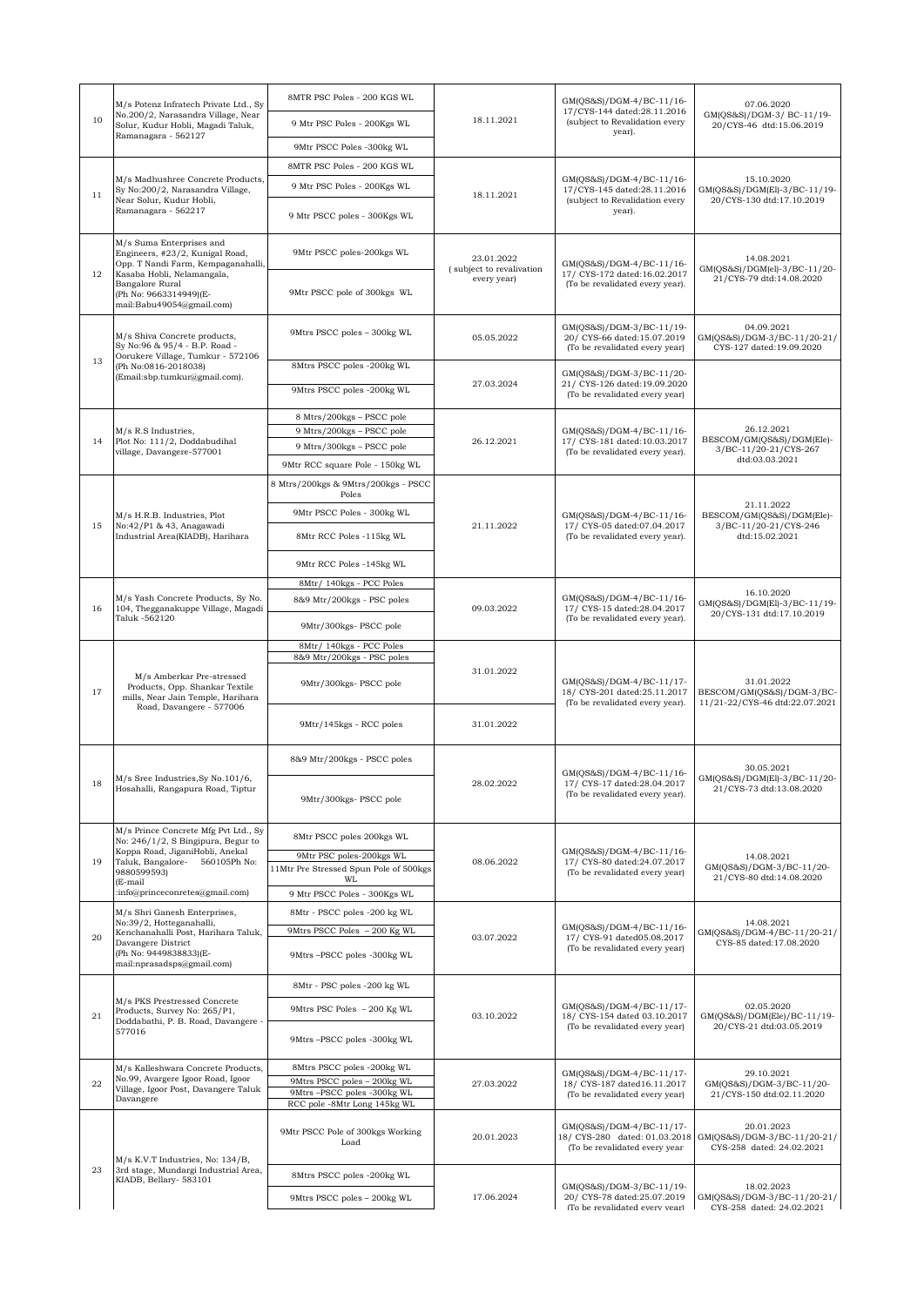|    | M/s Potenz Infratech Private Ltd., Sv                                                                                             | 8MTR PSC Poles - 200 KGS WL                                        |                                                       | GM(QS&S)/DGM-4/BC-11/16-<br>17/CYS-144 dated:28.11.2016                                     | 07.06.2020<br>GM(QS&S)/DGM-3/ BC-11/19-<br>20/CYS-46 dtd:15.06.2019                |
|----|-----------------------------------------------------------------------------------------------------------------------------------|--------------------------------------------------------------------|-------------------------------------------------------|---------------------------------------------------------------------------------------------|------------------------------------------------------------------------------------|
| 10 | No.200/2, Narasandra Village, Near<br>Solur, Kudur Hobli, Magadi Taluk,                                                           | 9 Mtr PSC Poles - 200Kgs WL                                        | 18.11.2021                                            | (subject to Revalidation every<br>year).                                                    |                                                                                    |
|    | Ramanagara - 562127                                                                                                               | 9Mtr PSCC Poles -300kg WL                                          |                                                       |                                                                                             |                                                                                    |
|    |                                                                                                                                   | 8MTR PSC Poles - 200 KGS WL                                        |                                                       |                                                                                             |                                                                                    |
| 11 | M/s Madhushree Concrete Products,<br>Sy No:200/2, Narasandra Village,                                                             | 9 Mtr PSC Poles - 200Kgs WL                                        | 18.11.2021                                            | GM(QS&S)/DGM-4/BC-11/16-<br>17/CYS-145 dated:28.11.2016                                     | 15.10.2020<br>GM(QS&S)/DGM(El)-3/BC-11/19-                                         |
|    | Near Solur, Kudur Hobli,<br>Ramanagara - 562217                                                                                   | 9 Mtr PSCC poles - 300Kgs WL                                       |                                                       | (subject to Revalidation every<br>year).                                                    | 20/CYS-130 dtd:17.10.2019                                                          |
|    | M/s Suma Enterprises and<br>Engineers, #23/2, Kunigal Road,<br>Opp. T Nandi Farm, Kempaganahalli,                                 | 9Mtr PSCC poles-200kgs WL                                          | 23.01.2022<br>(subject to revalivation<br>every year) | GM(QS&S)/DGM-4/BC-11/16-<br>17/ CYS-172 dated:16.02.2017<br>(To be revalidated every year). | 14.08.2021<br>GM(QS&S)/DGM(el)-3/BC-11/20-<br>21/CYS-79 dtd:14.08.2020             |
| 12 | Kasaba Hobli, Nelamangala,<br>Bangalore Rural<br>(Ph No: 9663314949)(E-<br>mail:Babu49054@gmail.com)                              | 9Mtr PSCC pole of 300kgs WL                                        |                                                       |                                                                                             |                                                                                    |
|    | M/s Shiva Concrete products,<br>Sy No:96 & 95/4 - B.P. Road -<br>Oorukere Village, Tumkur - 572106                                | 9Mtrs PSCC poles - 300kg WL                                        | 05.05.2022                                            | GM(QS&S)/DGM-3/BC-11/19-<br>20/ CYS-66 dated:15.07.2019<br>(To be revalidated every year)   | 04.09.2021<br>GM(QS&S)/DGM-3/BC-11/20-21/<br>CYS-127 dated:19.09.2020              |
| 13 | (Ph No:0816-2018038)<br>(Email:sbp.tumkur@gmail.com).                                                                             | 8Mtrs PSCC poles -200kg WL                                         |                                                       | GM(QS&S)/DGM-3/BC-11/20-                                                                    |                                                                                    |
|    |                                                                                                                                   | 9Mtrs PSCC poles -200kg WL                                         | 27.03.2024                                            | 21/ CYS-126 dated:19.09.2020<br>(To be revalidated every year)                              |                                                                                    |
|    |                                                                                                                                   | 8 Mtrs/200kgs - PSCC pole                                          |                                                       |                                                                                             | 26.12.2021<br>BESCOM/GM(QS&S)/DGM(Ele)-<br>3/BC-11/20-21/CYS-267<br>dtd:03.03.2021 |
| 14 | M/s R.S Industries,<br>Plot No: 111/2, Doddabudihal                                                                               | 9 Mtrs/200kgs - PSCC pole<br>9 Mtrs/300kgs - PSCC pole             | 26.12.2021                                            | GM(QS&S)/DGM-4/BC-11/16-<br>17/ CYS-181 dated:10.03.2017                                    |                                                                                    |
|    | village, Davangere-577001                                                                                                         | 9Mtr RCC square Pole - 150kg WL                                    |                                                       | (To be revalidated every year).                                                             |                                                                                    |
|    |                                                                                                                                   | 8 Mtrs/200kgs & 9Mtrs/200kgs - PSCC                                |                                                       |                                                                                             |                                                                                    |
|    |                                                                                                                                   | Poles                                                              |                                                       |                                                                                             | 21.11.2022                                                                         |
| 15 | M/s H.R.B. Industries, Plot<br>No:42/P1 & 43, Anagawadi                                                                           | 9Mtr PSCC Poles - 300kg WL                                         | 21.11.2022                                            | GM(QS&S)/DGM-4/BC-11/16-<br>17/ CYS-05 dated:07.04.2017<br>(To be revalidated every year).  | BESCOM/GM(QS&S)/DGM(Ele)-<br>3/BC-11/20-21/CYS-246<br>dtd:15.02.2021               |
|    | Industrial Area(KIADB), Harihara                                                                                                  | 8Mtr RCC Poles -115kg WL                                           |                                                       |                                                                                             |                                                                                    |
|    |                                                                                                                                   | 9Mtr RCC Poles -145kg WL                                           |                                                       |                                                                                             |                                                                                    |
|    |                                                                                                                                   | 8Mtr/ 140kgs - PCC Poles                                           | 09.03.2022                                            | GM(QS&S)/DGM-4/BC-11/16-<br>17/ CYS-15 dated:28.04.2017<br>(To be revalidated every year).  | 16.10.2020<br>GM(QS&S)/DGM(El)-3/BC-11/19-<br>20/CYS-131 dtd:17.10.2019            |
| 16 | M/s Yash Concrete Products, Sy No.<br>104, Thegganakuppe Village, Magadi<br>Taluk -562120                                         | 8&9 Mtr/200kgs - PSC poles                                         |                                                       |                                                                                             |                                                                                    |
|    |                                                                                                                                   | 9Mtr/300kgs- PSCC pole                                             |                                                       |                                                                                             |                                                                                    |
|    | M/s Amberkar Pre-stressed<br>Products, Opp. Shankar Textile<br>mills, Near Jain Temple, Harihara<br>Road, Davangere - 577006      | 8Mtr/ 140kgs - PCC Poles<br>8&9 Mtr/200kgs - PSC poles             | 31.01.2022                                            | GM(QS&S)/DGM-4/BC-11/17-<br>18/ CYS-201 dated:25.11.2017<br>(To be revalidated every year). | 31.01.2022<br>BESCOM/GM(QS&S)/DGM-3/BC-<br>11/21-22/CYS-46 dtd:22.07.2021          |
| 17 |                                                                                                                                   | 9Mtr/300kgs- PSCC pole                                             |                                                       |                                                                                             |                                                                                    |
|    |                                                                                                                                   | 9Mtr/145kgs - RCC poles                                            | 31.01.2022                                            |                                                                                             |                                                                                    |
|    |                                                                                                                                   | 8&9 Mtr/200kgs - PSCC poles                                        |                                                       | GM(QS&S)/DGM-4/BC-11/16-                                                                    | 30.05.2021<br>GM(QS&S)/DGM(El)-3/BC-11/20-                                         |
| 18 | M/s Sree Industries, Sy No. 101/6,<br>Hosahalli, Rangapura Road, Tiptur                                                           | 9Mtr/300kgs- PSCC pole                                             | 28.02.2022                                            | 17/ CYS-17 dated:28.04.2017<br>(To be revalidated every year).                              | 21/CYS-73 dtd:13.08.2020                                                           |
|    | M/s Prince Concrete Mfg Pvt Ltd., Sy<br>No: 246/1/2, S Bingipura, Begur to                                                        | 8Mtr PSCC poles 200kgs WL                                          |                                                       | GM(QS&S)/DGM-4/BC-11/16-<br>17/ CYS-80 dated:24.07.2017<br>(To be revalidated every year)   | 14.08.2021<br>GM(QS&S)/DGM-3/BC-11/20-<br>21/CYS-80 dtd:14.08.2020                 |
| 19 | Koppa Road, JiganiHobli, Anekal<br>560105Ph No:<br>Taluk, Bangalore-<br>9880599593)<br>(E-mail<br>:info@princeconretes@gmail.com) | 9Mtr PSC poles-200kgs WL<br>11Mtr Pre Stressed Spun Pole of 500kgs | 08.06.2022                                            |                                                                                             |                                                                                    |
|    |                                                                                                                                   | WL<br>9 Mtr PSCC Poles - 300Kgs WL                                 |                                                       |                                                                                             |                                                                                    |
|    | M/s Shri Ganesh Enterprises,                                                                                                      | 8Mtr - PSCC poles -200 kg WL                                       |                                                       |                                                                                             |                                                                                    |
| 20 | No:39/2, Hotteganahalli,<br>Kenchanahalli Post, Harihara Taluk,                                                                   | 9Mtrs PSCC Poles - 200 Kg WL                                       | 03.07.2022                                            | GM(QS&S)/DGM-4/BC-11/16-<br>17/ CYS-91 dated05.08.2017<br>(To be revalidated every year)    | 14.08.2021<br>GM(QS&S)/DGM-4/BC-11/20-21/<br>CYS-85 dated:17.08.2020               |
|    | Davangere District<br>(Ph No: 9449838833)(E-<br>mail:nprasadsps@gmail.com)                                                        | 9Mtrs-PSCC poles -300kg WL                                         |                                                       |                                                                                             |                                                                                    |
|    | M/s PKS Prestressed Concrete<br>Products, Survey No: 265/P1,<br>Doddabathi, P. B. Road, Davangere -<br>577016                     | 8Mtr - PSC poles -200 kg WL                                        | 03.10.2022                                            | GM(QS&S)/DGM-4/BC-11/17-<br>18/ CYS-154 dated 03.10.2017<br>(To be revalidated every year)  |                                                                                    |
| 21 |                                                                                                                                   | 9Mtrs PSC Poles - 200 Kg WL                                        |                                                       |                                                                                             | 02.05.2020<br>GM(QS&S)/DGM(Ele)/BC-11/19-<br>20/CYS-21 dtd:03.05.2019              |
|    |                                                                                                                                   | 9Mtrs-PSCC poles -300kg WL                                         |                                                       |                                                                                             |                                                                                    |
|    | M/s Kalleshwara Concrete Products,                                                                                                | 8Mtrs PSCC poles -200kg WL                                         |                                                       |                                                                                             |                                                                                    |
| 22 | No.99, Avargere Igoor Road, Igoor<br>Village, Igoor Post, Davangere Taluk<br>Davangere                                            | 9Mtrs PSCC poles - 200kg WL                                        | 27.03.2022                                            | GM(QS&S)/DGM-4/BC-11/17-<br>18/ CYS-187 dated16.11.2017<br>(To be revalidated every year)   | 29.10.2021<br>GM(QS&S)/DGM-3/BC-11/20-<br>21/CYS-150 dtd:02.11.2020                |
|    |                                                                                                                                   | 9Mtrs-PSCC poles -300kg WL<br>RCC pole -8Mtr Long 145kg WL         |                                                       |                                                                                             |                                                                                    |
| 23 | M/s K.V.T Industries, No: 134/B,<br>3rd stage, Mundargi Industrial Area,<br>KIADB, Bellary- 583101                                | 9Mtr PSCC Pole of 300kgs Working<br>Load                           | 20.01.2023                                            | GM(QS&S)/DGM-4/BC-11/17-<br>18/ CYS-280 dated: 01.03.2018<br>(To be revalidated every year  | 20.01.2023<br>GM(QS&S)/DGM-3/BC-11/20-21/<br>CYS-258 dated: 24.02.2021             |
|    |                                                                                                                                   | 8Mtrs PSCC poles -200kg WL                                         |                                                       |                                                                                             |                                                                                    |
|    |                                                                                                                                   | 9Mtrs PSCC poles - 200kg WL                                        | 17.06.2024                                            | GM(QS&S)/DGM-3/BC-11/19-<br>20/ CYS-78 dated:25.07.2019<br>(To be revalidated every year)   | 18.02.2023<br>GM(QS&S)/DGM-3/BC-11/20-21/<br>CYS-258 dated: 24.02.2021             |
|    |                                                                                                                                   |                                                                    |                                                       |                                                                                             |                                                                                    |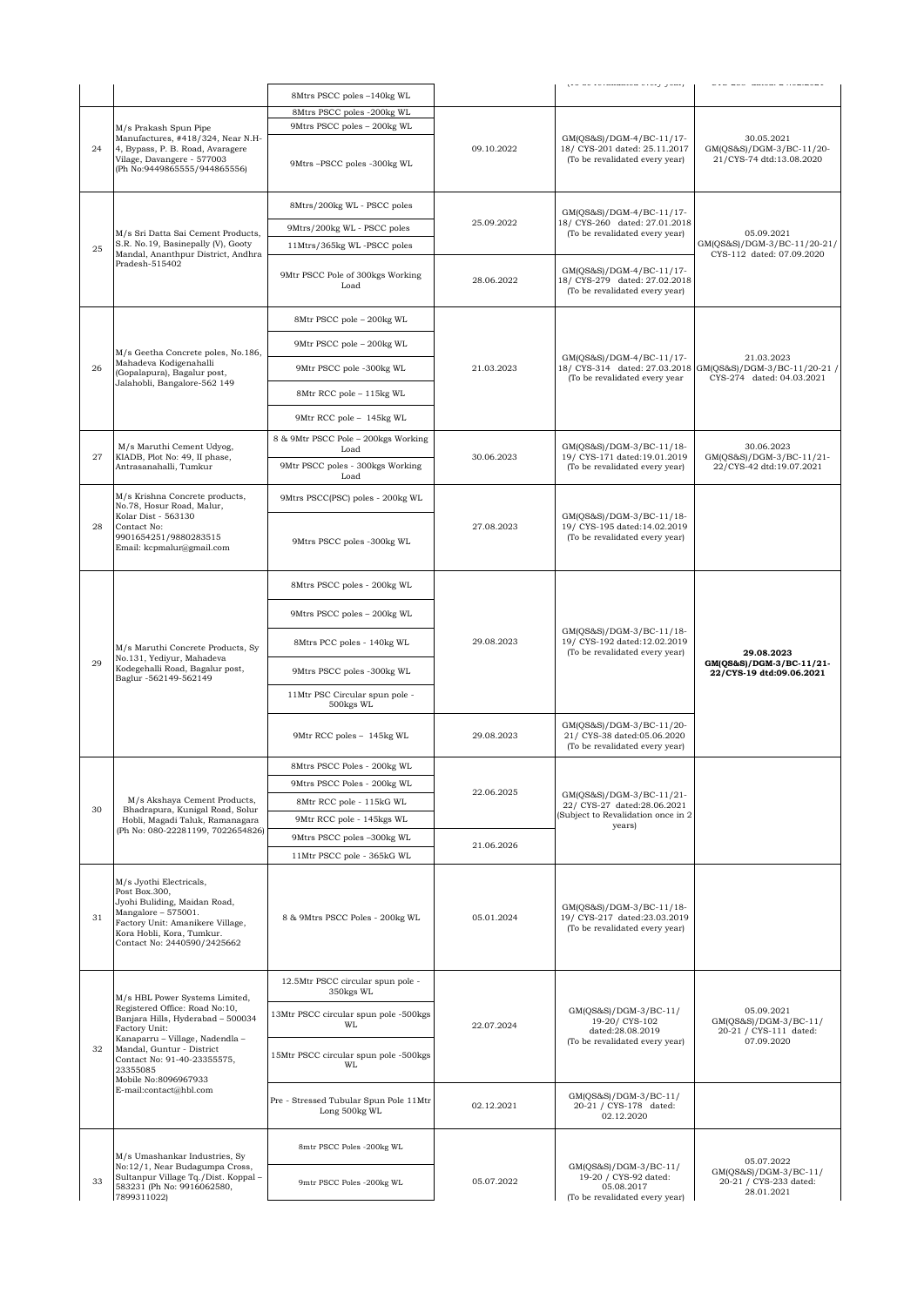|    |                                                                                                                                                                                                                                                                                     | 8Mtrs PSCC poles -140kg WL                                |            | (10 00 revailance every year)                                                                          | OIO 200 GRICH 2 HO2I2021                                                    |
|----|-------------------------------------------------------------------------------------------------------------------------------------------------------------------------------------------------------------------------------------------------------------------------------------|-----------------------------------------------------------|------------|--------------------------------------------------------------------------------------------------------|-----------------------------------------------------------------------------|
|    | M/s Prakash Spun Pipe<br>Manufactures, #418/324, Near N.H-<br>4, Bypass, P. B. Road, Avaragere<br>Vilage, Davangere - 577003<br>(Ph No:9449865555/944865556)                                                                                                                        |                                                           |            |                                                                                                        |                                                                             |
|    |                                                                                                                                                                                                                                                                                     | 8Mtrs PSCC poles -200kg WL<br>9Mtrs PSCC poles - 200kg WL |            |                                                                                                        |                                                                             |
|    |                                                                                                                                                                                                                                                                                     |                                                           | 09.10.2022 | GM(QS&S)/DGM-4/BC-11/17-<br>18/ CYS-201 dated: 25.11.2017<br>(To be revalidated every year)            | 30.05.2021                                                                  |
| 24 |                                                                                                                                                                                                                                                                                     | 9Mtrs-PSCC poles -300kg WL                                |            |                                                                                                        | GM(QS&S)/DGM-3/BC-11/20-<br>21/CYS-74 dtd:13.08.2020                        |
|    |                                                                                                                                                                                                                                                                                     | 8Mtrs/200kg WL - PSCC poles                               |            | GM(QS&S)/DGM-4/BC-11/17-                                                                               |                                                                             |
|    | M/s Sri Datta Sai Cement Products,<br>S.R. No.19, Basinepally (V), Gooty<br>Mandal, Ananthpur District, Andhra<br>Pradesh-515402                                                                                                                                                    | 9Mtrs/200kg WL - PSCC poles                               | 25.09.2022 | 18/ CYS-260 dated: 27.01.2018<br>(To be revalidated every year)                                        | 05.09.2021<br>GM(QS&S)/DGM-3/BC-11/20-21/                                   |
| 25 |                                                                                                                                                                                                                                                                                     | 11Mtrs/365kg WL-PSCC poles                                |            |                                                                                                        |                                                                             |
|    |                                                                                                                                                                                                                                                                                     | 9Mtr PSCC Pole of 300kgs Working<br>Load                  | 28.06.2022 | GM(QS&S)/DGM-4/BC-11/17-<br>18/ CYS-279 dated: 27.02.2018<br>(To be revalidated every year)            | CYS-112 dated: 07.09.2020                                                   |
|    |                                                                                                                                                                                                                                                                                     | 8Mtr PSCC pole - 200kg WL                                 |            |                                                                                                        |                                                                             |
|    |                                                                                                                                                                                                                                                                                     | 9Mtr PSCC pole - 200kg WL                                 |            |                                                                                                        |                                                                             |
| 26 | M/s Geetha Concrete poles, No.186,<br>Mahadeva Kodigenahalli<br>(Gopalapura), Bagalur post,                                                                                                                                                                                         | 9Mtr PSCC pole -300kg WL                                  | 21.03.2023 | GM(QS&S)/DGM-4/BC-11/17-<br>18/ CYS-314 dated: 27.03.2018                                              | 21.03.2023<br>GM(QS&S)/DGM-3/BC-11/20-21 /<br>CYS-274 dated: 04.03.2021     |
|    | Jalahobli, Bangalore-562 149                                                                                                                                                                                                                                                        | 8Mtr RCC pole - 115kg WL                                  |            | (To be revalidated every year                                                                          |                                                                             |
|    |                                                                                                                                                                                                                                                                                     | 9Mtr RCC pole - 145kg WL                                  |            |                                                                                                        |                                                                             |
|    |                                                                                                                                                                                                                                                                                     | 8 & 9Mtr PSCC Pole - 200kgs Working                       |            |                                                                                                        |                                                                             |
| 27 | M/s Maruthi Cement Udyog,<br>KIADB, Plot No: 49, II phase,<br>Antrasanahalli, Tumkur                                                                                                                                                                                                | Load<br>9Mtr PSCC poles - 300kgs Working<br>Load          | 30.06.2023 | GM(QS&S)/DGM-3/BC-11/18-<br>19/ CYS-171 dated:19.01.2019<br>(To be revalidated every year)             | 30.06.2023<br>GM(QS&S)/DGM-3/BC-11/21-<br>22/CYS-42 dtd:19.07.2021          |
|    | M/s Krishna Concrete products,<br>No.78, Hosur Road, Malur,                                                                                                                                                                                                                         | 9Mtrs PSCC(PSC) poles - 200kg WL                          |            |                                                                                                        |                                                                             |
| 28 | Kolar Dist - 563130<br>Contact No:<br>9901654251/9880283515<br>Email: kcpmalur@gmail.com                                                                                                                                                                                            | 9Mtrs PSCC poles -300kg WL                                | 27.08.2023 | GM(QS&S)/DGM-3/BC-11/18-<br>19/ CYS-195 dated:14.02.2019<br>(To be revalidated every year)             |                                                                             |
|    | M/s Maruthi Concrete Products, Sy<br>No.131, Yediyur, Mahadeva<br>Kodegehalli Road, Bagalur post,<br>Baglur -562149-562149                                                                                                                                                          | 8Mtrs PSCC poles - 200kg WL                               |            | GM(QS&S)/DGM-3/BC-11/18-<br>19/ CYS-192 dated:12.02.2019<br>(To be revalidated every year)             |                                                                             |
|    |                                                                                                                                                                                                                                                                                     | 9Mtrs PSCC poles - 200kg WL                               |            |                                                                                                        |                                                                             |
|    |                                                                                                                                                                                                                                                                                     | 8Mtrs PCC poles - 140kg WL                                | 29.08.2023 |                                                                                                        | 29.08.2023                                                                  |
| 29 |                                                                                                                                                                                                                                                                                     | 9Mtrs PSCC poles -300kg WL                                |            |                                                                                                        | GM(QS&S)/DGM-3/BC-11/21-<br>22/CYS-19 dtd:09.06.2021                        |
|    |                                                                                                                                                                                                                                                                                     | 11Mtr PSC Circular spun pole -<br>500kgs WL               |            |                                                                                                        |                                                                             |
|    |                                                                                                                                                                                                                                                                                     | 9Mtr RCC poles - 145kg WL                                 | 29.08.2023 | GM(QS&S)/DGM-3/BC-11/20-<br>21/ CYS-38 dated:05.06.2020<br>(To be revalidated every year)              |                                                                             |
|    |                                                                                                                                                                                                                                                                                     | 8Mtrs PSCC Poles - 200kg WL                               |            |                                                                                                        |                                                                             |
|    |                                                                                                                                                                                                                                                                                     | 9Mtrs PSCC Poles - 200kg WL                               | 22.06.2025 | GM(QS&S)/DGM-3/BC-11/21-<br>22/ CYS-27 dated:28.06.2021<br>Subject to Revalidation once in 2<br>years) |                                                                             |
|    | M/s Akshaya Cement Products,                                                                                                                                                                                                                                                        | 8Mtr RCC pole - 115kG WL                                  |            |                                                                                                        |                                                                             |
| 30 | Bhadrapura, Kunigal Road, Solur                                                                                                                                                                                                                                                     | 9Mtr RCC pole - 145kgs WL                                 |            |                                                                                                        |                                                                             |
|    | Hobli, Magadi Taluk, Ramanagara<br>(Ph No: 080-22281199, 7022654826)                                                                                                                                                                                                                |                                                           |            |                                                                                                        |                                                                             |
|    |                                                                                                                                                                                                                                                                                     | 9Mtrs PSCC poles -300kg WL                                | 21.06.2026 |                                                                                                        |                                                                             |
|    |                                                                                                                                                                                                                                                                                     | 11Mtr PSCC pole - 365kG WL                                |            |                                                                                                        |                                                                             |
| 31 | M/s Jyothi Electricals,<br>Post Box.300,<br>Jyohi Buliding, Maidan Road,<br>Mangalore - 575001.<br>Factory Unit: Amanikere Village,<br>Kora Hobli, Kora, Tumkur.<br>Contact No: 2440590/2425662                                                                                     | 8 & 9Mtrs PSCC Poles - 200kg WL                           | 05.01.2024 | GM(QS&S)/DGM-3/BC-11/18-<br>19/ CYS-217 dated:23.03.2019<br>(To be revalidated every year)             |                                                                             |
| 32 | M/s HBL Power Systems Limited,<br>Registered Office: Road No:10,<br>Banjara Hills, Hyderabad - 500034<br>Factory Unit:<br>Kanaparru - Village, Nadendla -<br>Mandal, Guntur - District<br>Contact No: 91-40-23355575,<br>23355085<br>Mobile No:8096967933<br>E-mail:contact@hbl.com | 12.5Mtr PSCC circular spun pole -<br>350kgs WL            | 22.07.2024 | GM(QS&S)/DGM-3/BC-11/<br>19-20/ CYS-102<br>dated:28.08.2019<br>(To be revalidated every year)          |                                                                             |
|    |                                                                                                                                                                                                                                                                                     | 13Mtr PSCC circular spun pole -500kgs<br>WL               |            |                                                                                                        | 05.09.2021<br>GM(QS&S)/DGM-3/BC-11/<br>20-21 / CYS-111 dated:               |
|    |                                                                                                                                                                                                                                                                                     | 15Mtr PSCC circular spun pole -500kgs<br>WL               |            |                                                                                                        | 07.09.2020                                                                  |
|    |                                                                                                                                                                                                                                                                                     | Pre - Stressed Tubular Spun Pole 11Mtr<br>Long 500kg WL   | 02.12.2021 | GM(QS&S)/DGM-3/BC-11/<br>20-21 / CYS-178 dated:<br>02.12.2020                                          |                                                                             |
|    | M/s Umashankar Industries, Sy                                                                                                                                                                                                                                                       | 8mtr PSCC Poles -200kg WL                                 |            | GM(QS&S)/DGM-3/BC-11/<br>19-20 / CYS-92 dated:<br>05.08.2017<br>(To be revalidated every year)         |                                                                             |
| 33 | No:12/1, Near Budagumpa Cross,<br>Sultanpur Village Tq./Dist. Koppal-<br>583231 (Ph No: 9916062580,<br>7899311022)                                                                                                                                                                  | 9mtr PSCC Poles -200kg WL                                 | 05.07.2022 |                                                                                                        | 05.07.2022<br>GM(QS&S)/DGM-3/BC-11/<br>20-21 / CYS-233 dated:<br>28.01.2021 |
|    |                                                                                                                                                                                                                                                                                     |                                                           |            |                                                                                                        |                                                                             |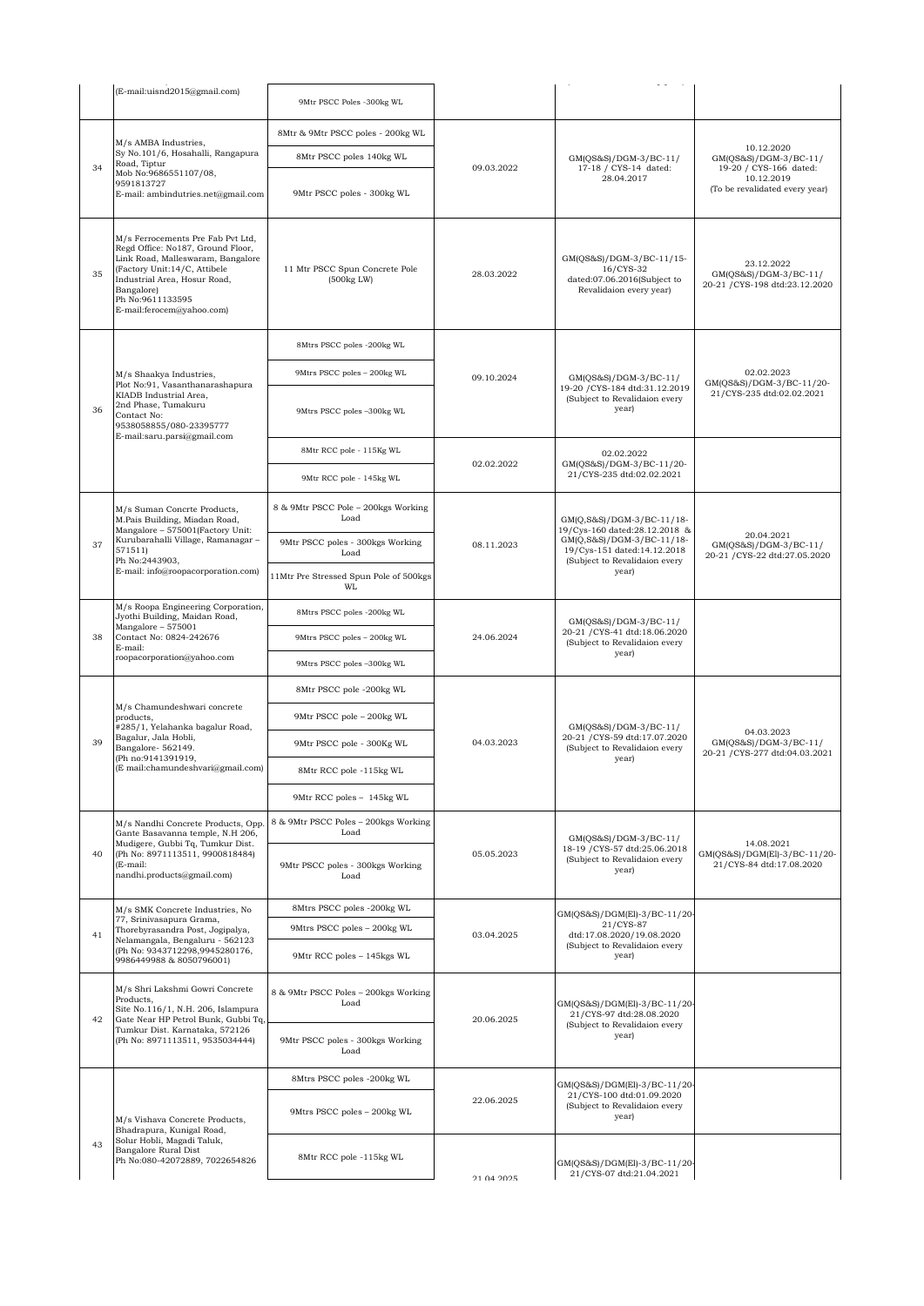|    | (E-mail:uisnd2015@gmail.com)                                                                                                                                                                          | 9Mtr PSCC Poles -300kg WL                           |            |                                                                                                  |                                                                        |
|----|-------------------------------------------------------------------------------------------------------------------------------------------------------------------------------------------------------|-----------------------------------------------------|------------|--------------------------------------------------------------------------------------------------|------------------------------------------------------------------------|
| 34 |                                                                                                                                                                                                       | 8Mtr & 9Mtr PSCC poles - 200kg WL                   |            |                                                                                                  |                                                                        |
|    | M/s AMBA Industries,<br>Sy No.101/6, Hosahalli, Rangapura<br>Road, Tiptur                                                                                                                             | 8Mtr PSCC poles 140kg WL                            |            | GM(QS&S)/DGM-3/BC-11/                                                                            | 10.12.2020<br>GM(QS&S)/DGM-3/BC-11/                                    |
|    | Mob No:9686551107/08,<br>9591813727                                                                                                                                                                   |                                                     | 09.03.2022 | 17-18 / CYS-14 dated:<br>28.04.2017                                                              | 19-20 / CYS-166 dated:<br>10.12.2019<br>(To be revalidated every year) |
|    | E-mail: ambindutries.net@gmail.com                                                                                                                                                                    | 9Mtr PSCC poles - 300kg WL                          |            |                                                                                                  |                                                                        |
|    | M/s Ferrocements Pre Fab Pvt Ltd.                                                                                                                                                                     |                                                     |            |                                                                                                  |                                                                        |
|    | Regd Office: No187, Ground Floor,<br>Link Road, Malleswaram, Bangalore<br>(Factory Unit:14/C, Attibele<br>Industrial Area, Hosur Road,<br>Bangalore)<br>Ph No:9611133595<br>E-mail:ferocem@yahoo.com) | 11 Mtr PSCC Spun Concrete Pole                      |            | GM(QS&S)/DGM-3/BC-11/15-<br>16/CYS-32                                                            | 23.12.2022<br>GM(QS&S)/DGM-3/BC-11/<br>20-21 / CYS-198 dtd:23.12.2020  |
| 35 |                                                                                                                                                                                                       | $(500kg$ LW $)$                                     | 28.03.2022 | dated:07.06.2016(Subject to<br>Revalidaion every year)                                           |                                                                        |
|    |                                                                                                                                                                                                       |                                                     |            |                                                                                                  |                                                                        |
|    |                                                                                                                                                                                                       | 8Mtrs PSCC poles -200kg WL                          |            |                                                                                                  |                                                                        |
|    | M/s Shaakya Industries,<br>Plot No:91, Vasanthanarashapura                                                                                                                                            | 9Mtrs PSCC poles - 200kg WL                         | 09.10.2024 | GM(QS&S)/DGM-3/BC-11/                                                                            | 02.02.2023<br>GM(QS&S)/DGM-3/BC-11/20-                                 |
| 36 | KIADB Industrial Area,<br>2nd Phase, Tumakuru<br>Contact No:                                                                                                                                          | 9Mtrs PSCC poles -300kg WL                          |            | 19-20 / CYS-184 dtd:31.12.2019<br>(Subject to Revalidaion every<br>year)                         | 21/CYS-235 dtd:02.02.2021                                              |
|    | 9538058855/080-23395777<br>E-mail:saru.parsi@gmail.com                                                                                                                                                |                                                     |            |                                                                                                  |                                                                        |
|    |                                                                                                                                                                                                       | 8Mtr RCC pole - 115Kg WL                            | 02.02.2022 | 02.02.2022<br>GM(QS&S)/DGM-3/BC-11/20-                                                           |                                                                        |
|    |                                                                                                                                                                                                       | 9Mtr RCC pole - 145kg WL                            |            | 21/CYS-235 dtd:02.02.2021                                                                        |                                                                        |
|    | M/s Suman Concrte Products,<br>M.Pais Building, Miadan Road,<br>Mangalore - 575001(Factory Unit:                                                                                                      | 8 & 9Mtr PSCC Pole - 200kgs Working<br>Load         | 08.11.2023 | GM(Q,S&S)/DGM-3/BC-11/18-<br>19/Cys-160 dated:28.12.2018 &                                       | 20.04.2021<br>GM(QS&S)/DGM-3/BC-11/<br>20-21 / CYS-22 dtd:27.05.2020   |
| 37 | Kurubarahalli Village, Ramanagar -<br>571511)                                                                                                                                                         | 9Mtr PSCC poles - 300kgs Working<br>Load            |            | GM(Q,S&S)/DGM-3/BC-11/18-<br>19/Cys-151 dated:14.12.2018                                         |                                                                        |
|    | Ph No:2443903,<br>E-mail: info@roopacorporation.com)                                                                                                                                                  | 11Mtr Pre Stressed Spun Pole of 500kgs<br><b>WL</b> |            | (Subject to Revalidaion every<br>year)                                                           |                                                                        |
|    | M/s Roopa Engineering Corporation,<br>Jyothi Building, Maidan Road,<br>Mangalore - 575001<br>Contact No: 0824-242676<br>E-mail:<br>roopacorporation@yahoo.com                                         | 8Mtrs PSCC poles -200kg WL                          | 24.06.2024 | GM(QS&S)/DGM-3/BC-11/<br>20-21 / CYS-41 dtd:18.06.2020<br>(Subject to Revalidaion every          |                                                                        |
| 38 |                                                                                                                                                                                                       | 9Mtrs PSCC poles - 200kg WL                         |            |                                                                                                  |                                                                        |
|    |                                                                                                                                                                                                       | 9Mtrs PSCC poles -300kg WL                          |            | year)                                                                                            |                                                                        |
|    | M/s Chamundeshwari concrete<br>products.<br>#285/1, Yelahanka bagalur Road,<br>Bagalur, Jala Hobli,<br>Bangalore-562149.<br>(Ph no:9141391919,<br>(E mail:chamundeshvari@gmail.com)                   | 8Mtr PSCC pole -200kg WL                            | 04.03.2023 | GM(QS&S)/DGM-3/BC-11/<br>20-21 / CYS-59 dtd:17.07.2020<br>(Subject to Revalidaion every<br>year) |                                                                        |
|    |                                                                                                                                                                                                       | 9Mtr PSCC pole - 200kg WL                           |            |                                                                                                  |                                                                        |
| 39 |                                                                                                                                                                                                       | 9Mtr PSCC pole - 300Kg WL                           |            |                                                                                                  | 04.03.2023<br>GM(QS&S)/DGM-3/BC-11/<br>20-21 / CYS-277 dtd:04.03.2021  |
|    |                                                                                                                                                                                                       | 8Mtr RCC pole -115kg WL                             |            |                                                                                                  |                                                                        |
|    |                                                                                                                                                                                                       | 9Mtr RCC poles - 145kg WL                           |            |                                                                                                  |                                                                        |
|    | M/s Nandhi Concrete Products, Opp.<br>Gante Basavanna temple, N.H 206,                                                                                                                                | 8 & 9Mtr PSCC Poles - 200kgs Working<br>Load        |            | GM(QS&S)/DGM-3/BC-11/                                                                            |                                                                        |
| 40 | Mudigere, Gubbi Tq, Tumkur Dist.<br>(Ph No: 8971113511, 9900818484)<br>(E-mail:                                                                                                                       | 9Mtr PSCC poles - 300kgs Working                    | 05.05.2023 | 18-19 / CYS-57 dtd:25.06.2018<br>(Subject to Revalidaion every<br>year)                          | 14.08.2021<br>GM(QS&S)/DGM(El)-3/BC-11/20-<br>21/CYS-84 dtd:17.08.2020 |
|    | nandhi.products@gmail.com)                                                                                                                                                                            | Load                                                |            |                                                                                                  |                                                                        |
|    | M/s SMK Concrete Industries, No<br>77, Srinivasapura Grama,                                                                                                                                           | 8Mtrs PSCC poles -200kg WL                          |            | GM(QS&S)/DGM(El)-3/BC-11/20-<br>21/CYS-87                                                        |                                                                        |
| 41 | Thorebyrasandra Post, Jogipalya,<br>Nelamangala, Bengaluru - 562123                                                                                                                                   | 9Mtrs PSCC poles - 200kg WL                         | 03.04.2025 | dtd:17.08.2020/19.08.2020<br>(Subject to Revalidaion every                                       |                                                                        |
|    | (Ph No: 9343712298,9945280176,<br>9986449988 & 8050796001)                                                                                                                                            | 9Mtr RCC poles - 145kgs WL                          |            | year)                                                                                            |                                                                        |
|    | M/s Shri Lakshmi Gowri Concrete<br>Products,                                                                                                                                                          | 8 & 9Mtr PSCC Poles - 200kgs Working<br>Load        |            |                                                                                                  |                                                                        |
| 42 | Site No.116/1, N.H. 206, Islampura<br>Gate Near HP Petrol Bunk, Gubbi Tq,                                                                                                                             |                                                     | 20.06.2025 | GM(QS&S)/DGM(El)-3/BC-11/20-<br>21/CYS-97 dtd:28.08.2020<br>(Subject to Revalidaion every        |                                                                        |
|    | Tumkur Dist. Karnataka, 572126<br>(Ph No: 8971113511, 9535034444)                                                                                                                                     | 9Mtr PSCC poles - 300kgs Working<br>Load            |            | year)                                                                                            |                                                                        |
|    |                                                                                                                                                                                                       | 8Mtrs PSCC poles -200kg WL                          |            | GM(QS&S)/DGM(El)-3/BC-11/20-                                                                     |                                                                        |
|    | M/s Vishava Concrete Products,                                                                                                                                                                        | 9Mtrs PSCC poles - 200kg WL                         | 22.06.2025 | 21/CYS-100 dtd:01.09.2020<br>(Subject to Revalidaion every<br>year)                              |                                                                        |
| 43 | Bhadrapura, Kunigal Road,<br>Solur Hobli, Magadi Taluk,<br>Bangalore Rural Dist                                                                                                                       | 8Mtr RCC pole -115kg WL                             | 21 04 2025 | GM(QS&S)/DGM(El)-3/BC-11/20-<br>21/CYS-07 dtd:21.04.2021                                         |                                                                        |
|    | Ph No:080-42072889, 7022654826                                                                                                                                                                        |                                                     |            |                                                                                                  |                                                                        |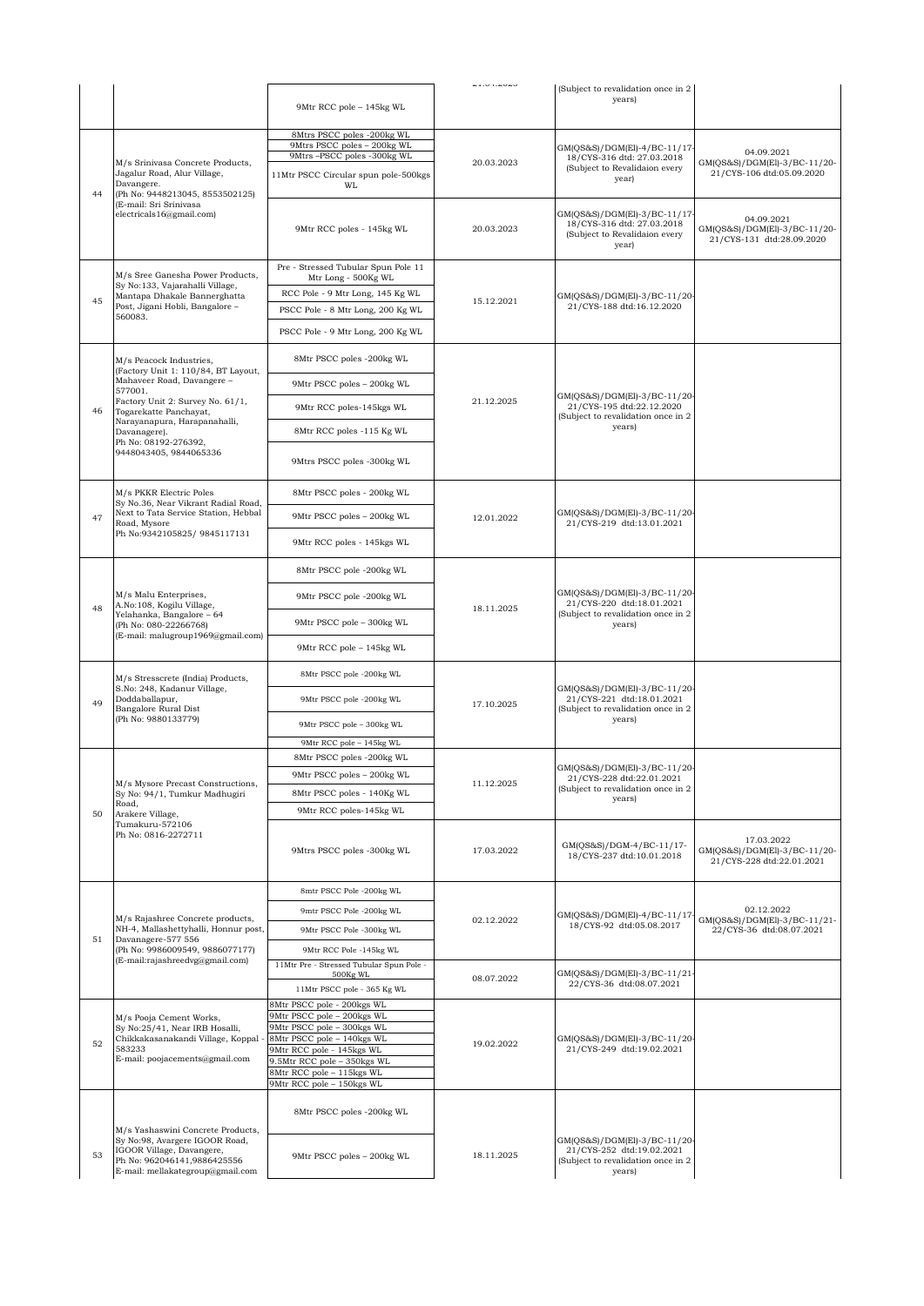|    |                                                                                                                                                                     |                                                            | 41.07.4040 | (Subject to revalidation once in 2                                                                        |                                                                         |
|----|---------------------------------------------------------------------------------------------------------------------------------------------------------------------|------------------------------------------------------------|------------|-----------------------------------------------------------------------------------------------------------|-------------------------------------------------------------------------|
|    |                                                                                                                                                                     | 9Mtr RCC pole - 145kg WL                                   |            | years)                                                                                                    |                                                                         |
| 44 | M/s Srinivasa Concrete Products,<br>Jagalur Road, Alur Village,<br>Davangere.<br>(Ph No: 9448213045, 8553502125)                                                    | 8Mtrs PSCC poles -200kg WL                                 |            |                                                                                                           |                                                                         |
|    |                                                                                                                                                                     | 9Mtrs PSCC poles - 200kg WL<br>9Mtrs-PSCC poles -300kg WL  |            | GM(QS&S)/DGM(El)-4/BC-11/17-                                                                              | 04.09.2021                                                              |
|    |                                                                                                                                                                     |                                                            | 20.03.2023 | 18/CYS-316 dtd: 27.03.2018<br>(Subject to Revalidaion every                                               | GM(QS&S)/DGM(El)-3/BC-11/20-                                            |
|    |                                                                                                                                                                     | 11Mtr PSCC Circular spun pole-500kgs<br>WL                 |            | year)                                                                                                     | 21/CYS-106 dtd:05.09.2020                                               |
|    | (E-mail: Sri Srinivasa<br>electricals16@gmail.com)                                                                                                                  |                                                            |            | GM(QS&S)/DGM(El)-3/BC-11/17-                                                                              |                                                                         |
|    |                                                                                                                                                                     | 9Mtr RCC poles - 145kg WL                                  | 20.03.2023 | 18/CYS-316 dtd: 27.03.2018                                                                                | 04.09.2021<br>GM(QS&S)/DGM(El)-3/BC-11/20-                              |
|    |                                                                                                                                                                     |                                                            |            | (Subject to Revalidaion every<br>year)                                                                    | 21/CYS-131 dtd:28.09.2020                                               |
|    |                                                                                                                                                                     |                                                            |            |                                                                                                           |                                                                         |
|    | M/s Sree Ganesha Power Products,<br>Sy No:133, Vajarahalli Village,<br>Mantapa Dhakale Bannerghatta<br>Post, Jigani Hobli, Bangalore -<br>560083.                   | Pre - Stressed Tubular Spun Pole 11<br>Mtr Long - 500Kg WL |            |                                                                                                           |                                                                         |
|    |                                                                                                                                                                     | RCC Pole - 9 Mtr Long, 145 Kg WL                           | 15.12.2021 |                                                                                                           |                                                                         |
| 45 |                                                                                                                                                                     | PSCC Pole - 8 Mtr Long, 200 Kg WL                          |            | GM(QS&S)/DGM(El)-3/BC-11/20-<br>21/CYS-188 dtd:16.12.2020                                                 |                                                                         |
|    |                                                                                                                                                                     |                                                            |            |                                                                                                           |                                                                         |
|    |                                                                                                                                                                     | PSCC Pole - 9 Mtr Long, 200 Kg WL                          |            |                                                                                                           |                                                                         |
|    | M/s Peacock Industries,<br>(Factory Unit 1: 110/84, BT Layout,                                                                                                      | 8Mtr PSCC poles -200kg WL                                  |            |                                                                                                           |                                                                         |
|    | Mahaveer Road, Davangere -<br>577001.                                                                                                                               | 9Mtr PSCC poles - 200kg WL                                 |            |                                                                                                           |                                                                         |
| 46 | Factory Unit 2: Survey No. 61/1,<br>Togarekatte Panchayat,                                                                                                          | 9Mtr RCC poles-145kgs WL                                   | 21.12.2025 | GM(QS&S)/DGM(El)-3/BC-11/20-<br>21/CYS-195 dtd:22.12.2020<br>(Subject to revalidation once in 2           |                                                                         |
|    | Narayanapura, Harapanahalli,<br>Davanagere).                                                                                                                        | 8Mtr RCC poles -115 Kg WL                                  |            | years)                                                                                                    |                                                                         |
|    | Ph No: 08192-276392,<br>9448043405, 9844065336                                                                                                                      |                                                            |            |                                                                                                           |                                                                         |
|    |                                                                                                                                                                     | 9Mtrs PSCC poles -300kg WL                                 |            |                                                                                                           |                                                                         |
|    | M/s PKKR Electric Poles                                                                                                                                             | 8Mtr PSCC poles - 200kg WL                                 |            |                                                                                                           |                                                                         |
| 47 | Sy No.36, Near Vikrant Radial Road,<br>Next to Tata Service Station, Hebbal                                                                                         | 9Mtr PSCC poles - 200kg WL                                 | 12.01.2022 | GM(QS&S)/DGM(El)-3/BC-11/20-<br>21/CYS-219 dtd:13.01.2021                                                 |                                                                         |
|    | Road, Mysore<br>Ph No:9342105825/9845117131                                                                                                                         |                                                            |            |                                                                                                           |                                                                         |
|    |                                                                                                                                                                     | 9Mtr RCC poles - 145kgs WL                                 |            |                                                                                                           |                                                                         |
|    |                                                                                                                                                                     | 8Mtr PSCC pole -200kg WL                                   |            | GM(QS&S)/DGM(El)-3/BC-11/20-<br>21/CYS-220 dtd:18.01.2021<br>(Subject to revalidation once in 2<br>years) |                                                                         |
|    | M/s Malu Enterprises,<br>A.No:108, Kogilu Village,<br>Yelahanka, Bangalore - 64<br>(Ph No: 080-22266768)<br>(E-mail: malugroup1969@gmail.com)                       | 9Mtr PSCC pole -200kg WL                                   | 18.11.2025 |                                                                                                           |                                                                         |
| 48 |                                                                                                                                                                     | 9Mtr PSCC pole - 300kg WL                                  |            |                                                                                                           |                                                                         |
|    |                                                                                                                                                                     | 9Mtr RCC pole - 145kg WL                                   |            |                                                                                                           |                                                                         |
|    | M/s Stresscrete (India) Products,<br>S.No: 248, Kadanur Village,<br>Doddaballapur,<br>Bangalore Rural Dist<br>(Ph No: 9880133779)                                   | 8Mtr PSCC pole -200kg WL                                   | 17.10.2025 | GM(QS&S)/DGM(El)-3/BC-11/20-<br>21/CYS-221 dtd:18.01.2021<br>(Subject to revalidation once in 2<br>years) |                                                                         |
| 49 |                                                                                                                                                                     | 9Mtr PSCC pole -200kg WL                                   |            |                                                                                                           |                                                                         |
|    |                                                                                                                                                                     | 9Mtr PSCC pole - 300kg WL                                  |            |                                                                                                           |                                                                         |
|    |                                                                                                                                                                     | 9Mtr RCC pole - 145kg WL                                   |            |                                                                                                           |                                                                         |
|    |                                                                                                                                                                     | 8Mtr PSCC poles -200kg WL                                  |            | GM(QS&S)/DGM(El)-3/BC-11/20-<br>21/CYS-228 dtd:22.01.2021<br>(Subject to revalidation once in 2<br>years) |                                                                         |
|    | M/s Mysore Precast Constructions,                                                                                                                                   | 9Mtr PSCC poles – 200kg WL                                 | 11.12.2025 |                                                                                                           |                                                                         |
|    | Sy No: 94/1, Tumkur Madhugiri                                                                                                                                       | 8Mtr PSCC poles - 140Kg WL                                 |            |                                                                                                           |                                                                         |
| 50 | Road,<br>Arakere Village,                                                                                                                                           | 9Mtr RCC poles-145kg WL                                    |            |                                                                                                           |                                                                         |
|    | Tumakuru-572106<br>Ph No: 0816-2272711                                                                                                                              | 9Mtrs PSCC poles -300kg WL                                 | 17.03.2022 | GM(QS&S)/DGM-4/BC-11/17-<br>18/CYS-237 dtd:10.01.2018                                                     | 17.03.2022<br>GM(QS&S)/DGM(El)-3/BC-11/20-<br>21/CYS-228 dtd:22.01.2021 |
|    |                                                                                                                                                                     |                                                            |            |                                                                                                           |                                                                         |
|    |                                                                                                                                                                     | 8mtr PSCC Pole -200kg WL                                   |            |                                                                                                           | 02.12.2022                                                              |
|    | M/s Rajashree Concrete products,                                                                                                                                    | 9mtr PSCC Pole -200kg WL                                   | 02.12.2022 | GM(QS&S)/DGM(El)-4/BC-11/17<br>18/CYS-92 dtd:05.08.2017                                                   | GM(QS&S)/DGM(El)-3/BC-11/21-                                            |
| 51 | NH-4, Mallashettyhalli, Honnur post,<br>Davanagere-577 556                                                                                                          | 9Mtr PSCC Pole -300kg WL                                   |            |                                                                                                           | 22/CYS-36 dtd:08.07.2021                                                |
|    | (Ph No: 9986009549, 9886077177)<br>(E-mail:rajashreedvg@gmail.com)                                                                                                  | 9Mtr RCC Pole -145kg WL                                    |            |                                                                                                           |                                                                         |
|    |                                                                                                                                                                     | 11Mtr Pre - Stressed Tubular Spun Pole -<br>500Kg WL       | 08.07.2022 | GM(QS&S)/DGM(El)-3/BC-11/21-<br>22/CYS-36 dtd:08.07.2021                                                  |                                                                         |
|    |                                                                                                                                                                     | 11Mtr PSCC pole - 365 Kg WL                                |            |                                                                                                           |                                                                         |
| 52 | M/s Pooja Cement Works,<br>Sy No:25/41, Near IRB Hosalli,<br>Chikkakasanakandi Village, Koppal<br>583233<br>E-mail: poojacements@gmail.com                          | 8Mtr PSCC pole - 200kgs WL                                 |            |                                                                                                           |                                                                         |
|    |                                                                                                                                                                     | 9Mtr PSCC pole - 200kgs WL<br>9Mtr PSCC pole - 300kgs WL   | 19.02.2022 |                                                                                                           |                                                                         |
|    |                                                                                                                                                                     | 8Mtr PSCC pole - 140kgs WL                                 |            | GM(QS&S)/DGM(El)-3/BC-11/20-                                                                              |                                                                         |
|    |                                                                                                                                                                     | 9Mtr RCC pole - 145kgs WL<br>9.5Mtr RCC pole - 350kgs WL   |            | 21/CYS-249 dtd:19.02.2021                                                                                 |                                                                         |
|    |                                                                                                                                                                     | 8Mtr RCC pole - 115kgs WL<br>9Mtr RCC pole - 150kgs WL     |            |                                                                                                           |                                                                         |
|    |                                                                                                                                                                     |                                                            |            |                                                                                                           |                                                                         |
|    |                                                                                                                                                                     | 8Mtr PSCC poles -200kg WL                                  |            |                                                                                                           |                                                                         |
| 53 | M/s Yashaswini Concrete Products,<br>Sy No:98, Avargere IGOOR Road,<br>IGOOR Village, Davangere,<br>Ph No: 962046141,9886425556<br>E-mail: mellakategroup@gmail.com | 9Mtr PSCC poles - 200kg WL                                 | 18.11.2025 | GM(QS&S)/DGM(El)-3/BC-11/20-<br>21/CYS-252 dtd:19.02.2021<br>(Subject to revalidation once in 2<br>years) |                                                                         |